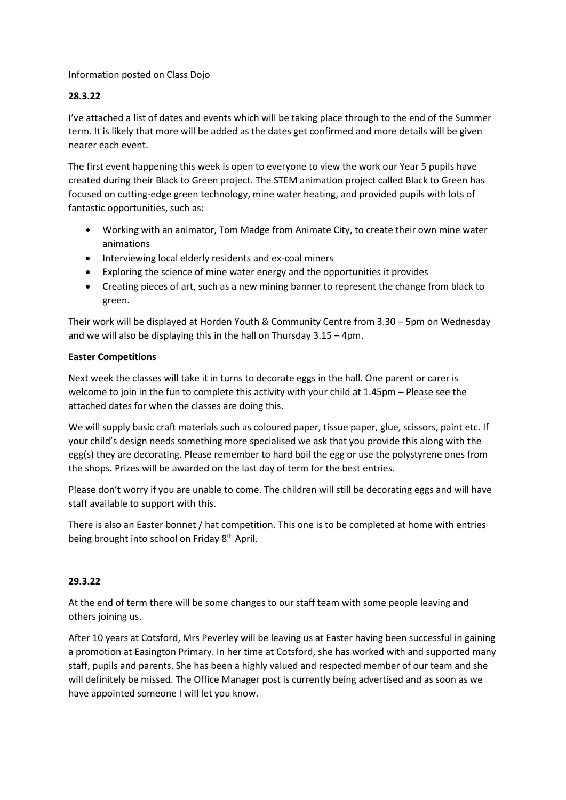## Information posted on Class Dojo

## **28.3.22**

I've attached a list of dates and events which will be taking place through to the end of the Summer term. It is likely that more will be added as the dates get confirmed and more details will be given nearer each event.

The first event happening this week is open to everyone to view the work our Year 5 pupils have created during their Black to Green project. The STEM animation project called Black to Green has focused on cutting-edge green technology, mine water heating, and provided pupils with lots of fantastic opportunities, such as:

- Working with an animator, Tom Madge from Animate City, to create their own mine water animations
- Interviewing local elderly residents and ex-coal miners
- Exploring the science of mine water energy and the opportunities it provides
- Creating pieces of art, such as a new mining banner to represent the change from black to green.

Their work will be displayed at Horden Youth & Community Centre from 3.30 – 5pm on Wednesday and we will also be displaying this in the hall on Thursday 3.15 – 4pm.

## **Easter Competitions**

Next week the classes will take it in turns to decorate eggs in the hall. One parent or carer is welcome to join in the fun to complete this activity with your child at 1.45pm – Please see the attached dates for when the classes are doing this.

We will supply basic craft materials such as coloured paper, tissue paper, glue, scissors, paint etc. If your child's design needs something more specialised we ask that you provide this along with the egg(s) they are decorating. Please remember to hard boil the egg or use the polystyrene ones from the shops. Prizes will be awarded on the last day of term for the best entries.

Please don't worry if you are unable to come. The children will still be decorating eggs and will have staff available to support with this.

There is also an Easter bonnet / hat competition. This one is to be completed at home with entries being brought into school on Friday 8<sup>th</sup> April.

## **29.3.22**

At the end of term there will be some changes to our staff team with some people leaving and others joining us.

After 10 years at Cotsford, Mrs Peverley will be leaving us at Easter having been successful in gaining a promotion at Easington Primary. In her time at Cotsford, she has worked with and supported many staff, pupils and parents. She has been a highly valued and respected member of our team and she will definitely be missed. The Office Manager post is currently being advertised and as soon as we have appointed someone I will let you know.